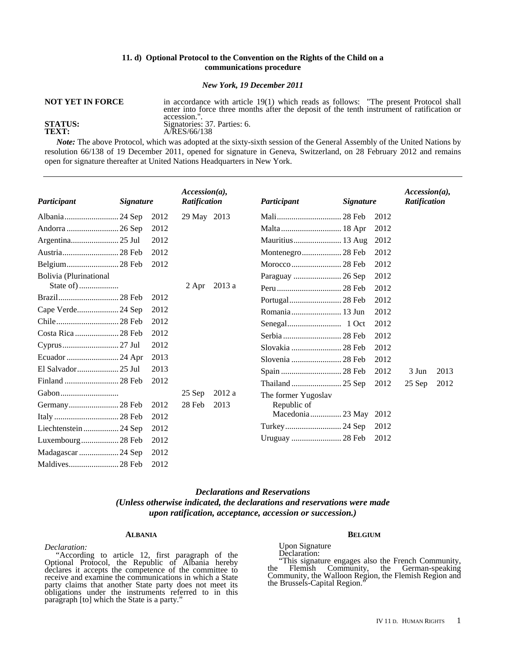## **11. d) Optional Protocol to the Convention on the Rights of the Child on a communications procedure**

*New York, 19 December 2011* 

in accordance with article 19(1) which reads as follows: "The present Protocol shall enter into force three months after the deposit of the tenth instrument of ratification or

# **NOT YET IN FORCE**

accession.". **STATUS:**  $\frac{5}{2}$  Signatories: 37. Parties: 6.<br>**TEXT:**  $\frac{5}{2}$  A/RES/66/138 **TEXT:** A/RES/66/138

*Note:* The above Protocol, which was adopted at the sixty-sixth session of the General Assembly of the United Nations by resolution 66/138 of 19 December 2011, opened for signature in Geneva, Switzerland, on 28 February 2012 and remains open for signature thereafter at United Nations Headquarters in New York.

| Participant            | <b>Signature</b> |      | $Accession(a)$ ,<br>Ratification |        | Participant         | <b>Signature</b> |      | $Accession(a)$ ,<br>Ratification |      |
|------------------------|------------------|------|----------------------------------|--------|---------------------|------------------|------|----------------------------------|------|
|                        |                  | 2012 | 29 May 2013                      |        |                     |                  | 2012 |                                  |      |
|                        |                  | 2012 |                                  |        |                     |                  | 2012 |                                  |      |
|                        |                  | 2012 |                                  |        |                     |                  | 2012 |                                  |      |
|                        |                  | 2012 |                                  |        |                     |                  | 2012 |                                  |      |
|                        |                  | 2012 |                                  |        |                     |                  | 2012 |                                  |      |
| Bolivia (Plurinational |                  |      |                                  |        |                     |                  | 2012 |                                  |      |
|                        |                  |      | 2 Apr                            | 2013 a |                     |                  | 2012 |                                  |      |
|                        |                  | 2012 |                                  |        |                     |                  | 2012 |                                  |      |
| Cape Verde 24 Sep      |                  | 2012 |                                  |        |                     |                  | 2012 |                                  |      |
|                        |                  | 2012 |                                  |        |                     |                  | 2012 |                                  |      |
| Costa Rica  28 Feb     |                  | 2012 |                                  |        |                     |                  | 2012 |                                  |      |
|                        |                  | 2012 |                                  |        | Slovakia  28 Feb    |                  | 2012 |                                  |      |
|                        |                  | 2013 |                                  |        | Slovenia  28 Feb    |                  | 2012 |                                  |      |
| El Salvador 25 Jul     |                  | 2013 |                                  |        |                     |                  | 2012 | 3 Jun                            | 2013 |
|                        |                  | 2012 |                                  |        |                     |                  | 2012 | $25$ Sep                         | 2012 |
|                        |                  |      | 25 Sep                           | 2012a  | The former Yugoslav |                  |      |                                  |      |
|                        |                  | 2012 | 28 Feb                           | 2013   | Republic of         |                  |      |                                  |      |
|                        |                  | 2012 |                                  |        | Macedonia 23 May    |                  | 2012 |                                  |      |
|                        |                  | 2012 |                                  |        |                     |                  | 2012 |                                  |      |
| Luxembourg28 Feb       |                  | 2012 |                                  |        |                     |                  | 2012 |                                  |      |
| Madagascar  24 Sep     |                  | 2012 |                                  |        |                     |                  |      |                                  |      |
|                        |                  | 2012 |                                  |        |                     |                  |      |                                  |      |

# *Declarations and Reservations (Unless otherwise indicated, the declarations and reservations were made upon ratification, acceptance, accession or succession.)*

#### **ALBANIA**

### *Declaration:*

"According to article 12, first paragraph of the Optional Protocol, the Republic of Albania hereby declares it accepts the competence of the committee to receive and examine the communications in which a State party claims that another State party does not meet its obligations under the instruments referred to in this paragraph [to] which the State is a party."

#### **BELGIUM**

Upon Signature Declaration:<br>"This signature engages also the French Community, "This signature engages also the French Community, the Flemish Community, the German-speaking Community, the Walloon Region, the Flemish Region and the Brussels-Capital Region."